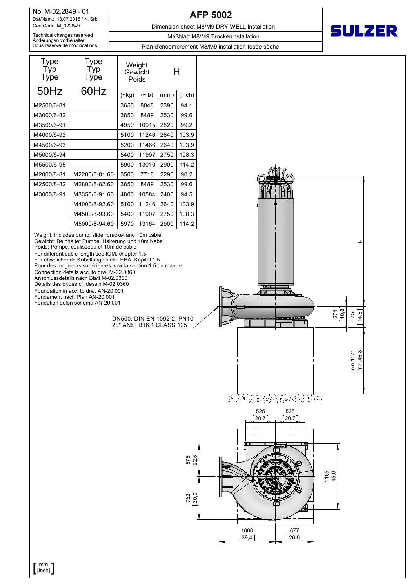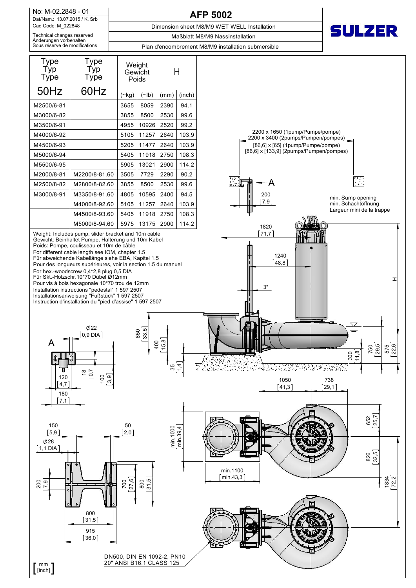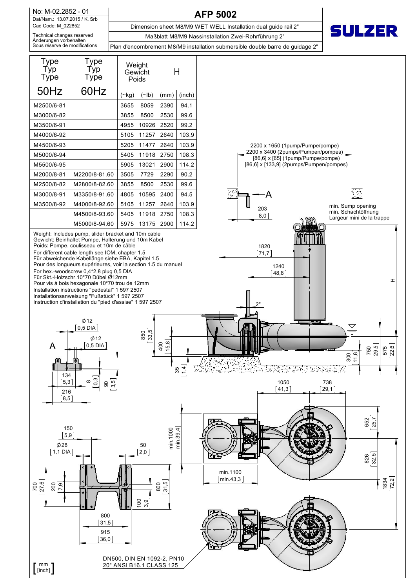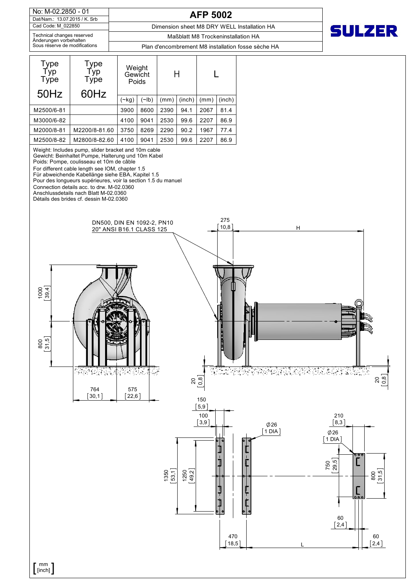Cad Code: M\_022850 Dat/Nam.: 13.07.2015 / K. Srb No: M-02.2850 - 01 Technical changes reserved

**AFP 5002**

Dimension sheet M8 DRY WELL Installation HA

**SULZER** 

Maßblatt M8 Trockeninstallation HA

sse sèche HA

| Änderungen vorbehalten        |                                            |                                         |             |      |        |      |        |  |
|-------------------------------|--------------------------------------------|-----------------------------------------|-------------|------|--------|------|--------|--|
| Sous réserve de modifications |                                            | Plan d'encombrement M8 installation for |             |      |        |      |        |  |
| Type<br>Typ]<br>Type<br>50Hz  | <b>Type</b><br><u>Т</u> ур<br>Type<br>60Hz | Weight<br>Gewicht<br>Poids              |             |      |        |      |        |  |
|                               |                                            | $(\sim$ kg)                             | $(\sim$ lb) | (mm) | (inch) | (mm) | (inch) |  |
| M2500/6-81                    |                                            | 3900                                    | 8600        | 2390 | 94.1   | 2067 | 81.4   |  |
| M3000/6-82                    |                                            | 4100                                    | 9041        | 2530 | 99.6   | 2207 | 86.9   |  |
| M2000/8-81                    | M2200/8-81.60                              | 3750                                    | 8269        | 2290 | 90.2   | 1967 | 77.4   |  |
| M2500/8-82                    | M2800/8-82.60                              | 4100                                    | 9041        | 2530 | 99.6   | 2207 | 86.9   |  |

Weight: Includes pump, slider bracket and 10m cable

Gewicht: Beinhaltet Pumpe, Halterung und 10m Kabel

Poids: Pompe, coulisseau et 10m de câble

For different cable length see IOM, chapter 1.5 Für abweichende Kabellänge siehe EBA, Kapitel 1.5

Pour des longueurs supérieures, voir la section 1.5 du manuel

Connection details acc. to drw. M-02.0360

Anschlussdetails nach Blatt M-02.0360

Détails des brides cf. dessin M-02.0360



 $\left[\begin{smallmatrix}mm\\ [{\rm inch}] \end{smallmatrix}\right]$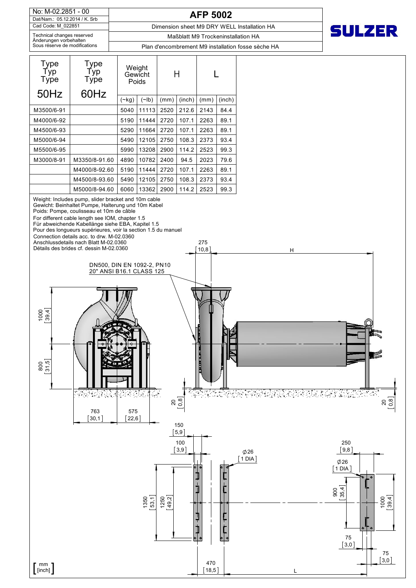